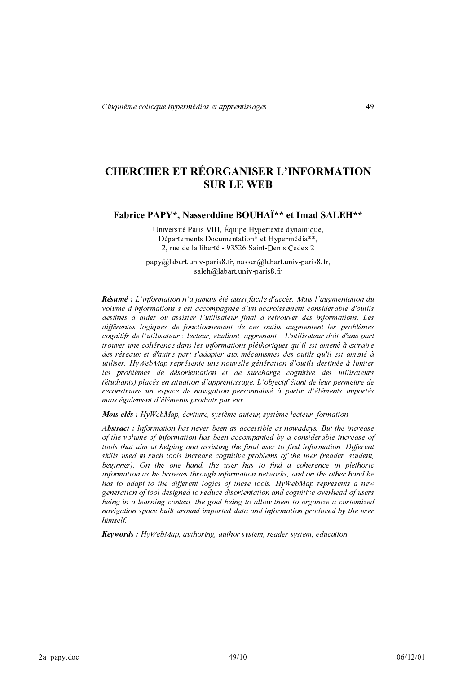# **CHERCHER ET RÉORGANISER L'INFORMATION SUR LE WER**

Fabrice PAPY\*, Nasserddine BOUHAÏ\*\* et Imad SALEH\*\*

Université Paris VIII, Équipe Hypertexte dynamique, Départements Documentation\* et Hypermédia\*\*, 2. rue de la liberté - 93526 Saint-Denis Cedex 2

 $p$ apy $@$ labart.univ-paris8.fr, nasser $@$ labart.univ-paris8.fr, saleh@labart.univ-paris8.fr

Résumé : L'information n'a jamais été aussi facile d'accès. Mais l'augmentation du volume d'informations s'est accompagnée d'un accroissement considérable d'outils destinés à aider ou assister l'utilisateur final à retrouver des informations. Les différentes logiques de fonctionnement de ces outils augmentent les problèmes cognitifs de l'utilisateur : lecteur, étudiant, apprenant... L'utilisateur doit d'une part trouver une cohérence dans les informations pléthoriques qu'il est amené à extraire des réseaux et d'autre part s'adapter aux mécanismes des outils qu'il est amené à utiliser. HyWebMap représente une nouvelle génération d'outils destinée à limiter les problèmes de désorientation et de surcharge cognitive des utilisateurs (étudiants) placés en situation d'apprentissage. L'objectif étant de leur permettre de reconstruire un espace de navigation personnalisé à partir d'éléments importés mais également d'éléments produits par eux.

Mots-clés : HyWebMap, écriture, système auteur, système lecteur, formation

**Abstract**: Information has never been as accessible as nowadays. But the increase of the volume of information has been accompanied by a considerable increase of tools that aim at helping and assisting the final user to find information. Different skills used in such tools increase cognitive problems of the user (reader, student, beginner). On the one hand, the user has to find a coherence in plethoric information as he browses through information networks, and on the other hand he has to adapt to the different logics of these tools. HyWebMap represents a new generation of tool designed to reduce disorientation and cognitive overhead of users being in a learning context, the goal being to allow them to organize a customized navigation space built around imported data and information produced by the user himself.

**Keywords**: HyWebMap, authoring, author system, reader system, education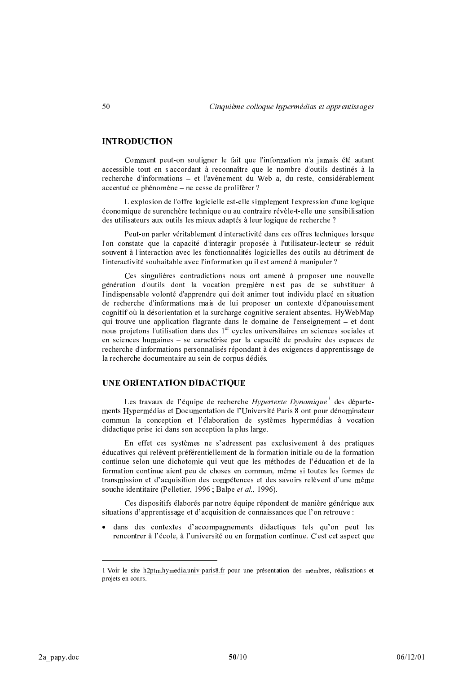# **INTRODUCTION**

Comment peut-on souligner le fait que l'information n'a jamais été autant accessible tout en s'accordant à reconnaître que le nombre d'outils destinés à la recherche d'informations - et l'avènement du Web a, du reste, considérablement accentué ce phénomène – ne cesse de proliférer ?

L'explosion de l'offre logicielle est-elle simplement l'expression d'une logique économique de surenchère technique ou au contraire révèle-t-elle une sensibilisation des utilisateurs aux outils les mieux adaptés à leur logique de recherche ?

Peut-on parler véritablement d'interactivité dans ces offres techniques lorsque l'on constate que la capacité d'interagir proposée à l'utilisateur-lecteur se réduit souvent à l'interaction avec les fonctionnalités logicielles des outils au détriment de l'interactivité souhaitable avec l'information qu'il est amené à manipuler ?

Ces singulières contradictions nous ont amené à proposer une nouvelle génération d'outils dont la vocation première n'est pas de se substituer à l'indispensable volonté d'apprendre qui doit animer tout individu placé en situation de recherche d'informations mais de lui proposer un contexte d'épanouissement cognitif où la désorientation et la surcharge cognitive seraient absentes. HyWebMap qui trouve une application flagrante dans le domaine de l'enseignement – et dont nous projetons l'utilisation dans des 1<sup>er</sup> cycles universitaires en sciences sociales et en sciences humaines – se caractérise par la capacité de produire des espaces de recherche d'informations personnalisés répondant à des exigences d'apprentissage de la recherche documentaire au sein de corpus dédiés.

# **UNE ORIENTATION DIDACTIOUE**

Les travaux de l'équipe de recherche *Hypertexte Dynamique*<sup>1</sup> des départements Hypermédias et Documentation de l'Université Paris 8 ont pour dénominateur commun la conception et l'élaboration de systèmes hypermédias à vocation didactique prise ici dans son acception la plus large.

En effet ces systèmes ne s'adressent pas exclusivement à des pratiques éducatives qui relèvent préférentiellement de la formation initiale ou de la formation continue selon une dichotomie qui veut que les méthodes de l'éducation et de la formation continue aient peu de choses en commun, même si toutes les formes de transmission et d'acquisition des compétences et des savoirs relèvent d'une même souche identitaire (Pelletier, 1996 ; Balpe et al., 1996).

Ces dispositifs élaborés par notre équipe répondent de manière générique aux situations d'apprentissage et d'acquisition de connaissances que l'on retrouve :

· dans des contextes d'accompagnements didactiques tels qu'on peut les rencontrer à l'école, à l'université ou en formation continue. C'est cet aspect que

<sup>1</sup> Voir le site h2ptm.hymedia.univ-paris8.fr pour une présentation des membres, réalisations et projets en cours.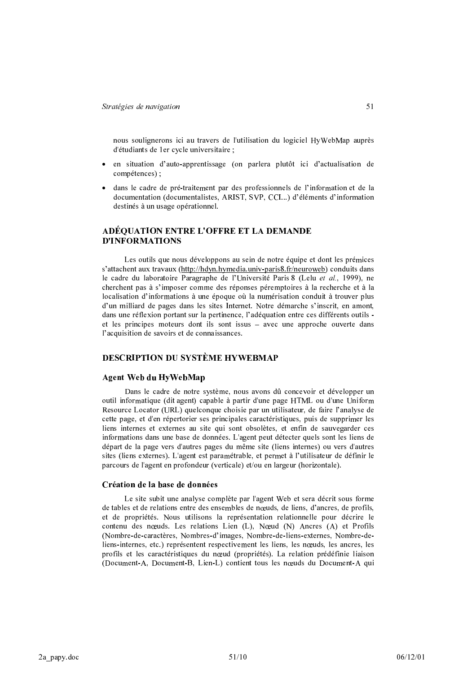nous soulignerons ici au travers de l'utilisation du logiciel HyWebMap auprès d'étudiants de 1er cycle universitaire ;

- en situation d'auto-apprentissage (on parlera plutôt ici d'actualisation de compétences) :
- · dans le cadre de pré-traitement par des professionnels de l'information et de la documentation (documentalistes, ARIST, SVP, CCI...) d'éléments d'information destinés à un usage opérationnel.

# ADÉQUATION ENTRE L'OFFRE ET LA DEMANDE **D'INFORMATIONS**

Les outils que nous développons au sein de notre équipe et dont les prémices s'attachent aux travaux (http://hdyn.hymedia.univ-paris8.fr/neuroweb) conduits dans le cadre du laboratoire Paragraphe de l'Université Paris 8 (Lelu et al., 1999), ne cherchent pas à s'imposer comme des réponses péremptoires à la recherche et à la localisation d'informations à une époque où la numérisation conduit à trouver plus d'un milliard de pages dans les sites Internet. Notre démarche s'inscrit, en amont, dans une réflexion portant sur la pertinence, l'adéquation entre ces différents outils et les principes moteurs dont ils sont issus - avec une approche ouverte dans l'acquisition de savoirs et de connaissances.

## **DESCRIPTION DU SYSTÈME HYWEBMAP**

#### **Agent Web du HyWebMap**

Dans le cadre de notre système, nous avons dû concevoir et développer un outil informatique (dit agent) capable à partir d'une page HTML ou d'une Uniform Resource Locator (URL) quelconque choisie par un utilisateur, de faire l'analyse de cette page, et d'en répertorier ses principales caractéristiques, puis de supprimer les liens internes et externes au site qui sont obsolètes, et enfin de sauvegarder ces informations dans une base de données. L'agent peut détecter quels sont les liens de départ de la page vers d'autres pages du même site (liens internes) ou vers d'autres sites (liens externes). L'agent est paramétrable, et permet à l'utilisateur de définir le parcours de l'agent en profondeur (verticale) et/ou en largeur (horizontale).

#### Création de la base de données

Le site subit une analyse complète par l'agent Web et sera décrit sous forme de tables et de relations entre des ensembles de nœuds, de liens, d'ancres, de profils, et de propriétés. Nous utilisons la représentation relationnelle pour décrire le contenu des nœuds. Les relations Lien (L), Nœud (N) Ancres (A) et Profils (Nombre-de-caractères, Nombres-d'images, Nombre-de-liens-externes, Nombre-deliens-internes, etc.) représentent respectivement les liens, les nœuds, les ancres, les profils et les caractéristiques du nœud (propriétés). La relation prédéfinie liaison (Document-A, Document-B, Lien-L) contient tous les nœuds du Document-A qui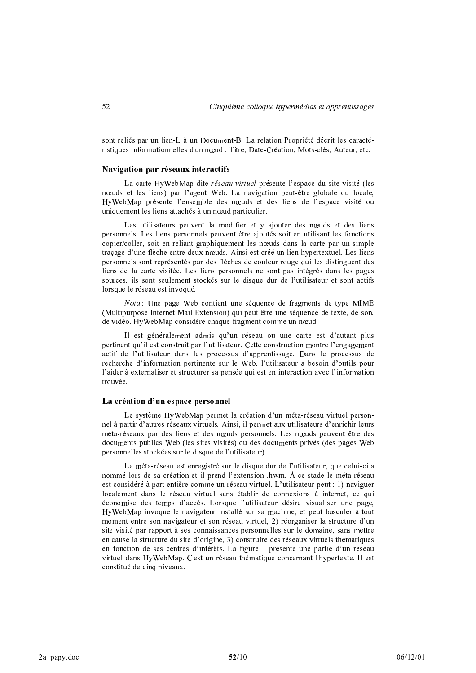sont reliés par un lien-L à un Document-B. La relation Propriété décrit les caractéristiques informationnelles d'un nœud : Titre, Date-Création, Mots-clés, Auteur, etc.

#### Navigation par réseaux interactifs

La carte HyWebMap dite *réseau virtuel* présente l'espace du site visité (les nœuds et les liens) par l'agent Web. La navigation peut-être globale ou locale, HyWebMap présente l'ensemble des nœuds et des liens de l'espace visité ou uniquement les liens attachés à un nœud particulier.

Les utilisateurs peuvent la modifier et y ajouter des nœuds et des liens personnels. Les liens personnels peuvent être ajoutés soit en utilisant les fonctions copier/coller, soit en reliant graphiquement les nœuds dans la carte par un simple tracage d'une flèche entre deux nœuds. Ainsi est créé un lien hypertextuel. Les liens personnels sont représentés par des flèches de couleur rouge qui les distinguent des liens de la carte visitée. Les liens personnels ne sont pas intégrés dans les pages sources, ils sont seulement stockés sur le disque dur de l'utilisateur et sont actifs lorsque le réseau est invoqué.

Nota: Une page Web contient une séquence de fragments de type MIME (Multipurpose Internet Mail Extension) qui peut être une séquence de texte, de son, de vidéo. Hy WebMap considère chaque fragment comme un nœud.

Il est généralement admis qu'un réseau ou une carte est d'autant plus pertinent qu'il est construit par l'utilisateur. Cette construction montre l'engagement actif de l'utilisateur dans les processus d'apprentissage. Dans le processus de recherche d'information pertinente sur le Web, l'utilisateur a besoin d'outils pour l'aider à externaliser et structurer sa pensée qui est en interaction avec l'information trouvée.

#### La création d'un espace personnel

Le système HyWebMap permet la création d'un méta-réseau virtuel personnel à partir d'autres réseaux virtuels. Ainsi, il permet aux utilisateurs d'enrichir leurs méta-réseaux par des liens et des nœuds personnels. Les nœuds peuvent être des documents publics Web (les sites visités) ou des documents privés (des pages Web personnelles stockées sur le disque de l'utilisateur).

Le méta-réseau est enregistré sur le disque dur de l'utilisateur, que celui-ci a nommé lors de sa création et il prend l'extension .hwm. À ce stade le méta-réseau est considéré à part entière comme un réseau virtuel. L'utilisateur peut : 1) naviguer localement dans le réseau virtuel sans établir de connexions à internet, ce qui économise des temps d'accès. Lorsque l'utilisateur désire visualiser une page, HyWebMap invoque le navigateur installé sur sa machine, et peut basculer à tout moment entre son navigateur et son réseau virtuel, 2) réorganiser la structure d'un site visité par rapport à ses connaissances personnelles sur le domaine, sans mettre en cause la structure du site d'origine, 3) construire des réseaux virtuels thématiques en fonction de ses centres d'intérêts. La figure 1 présente une partie d'un réseau virtuel dans HyWebMap. C'est un réseau thématique concernant l'hypertexte. Il est constitué de cinq niveaux.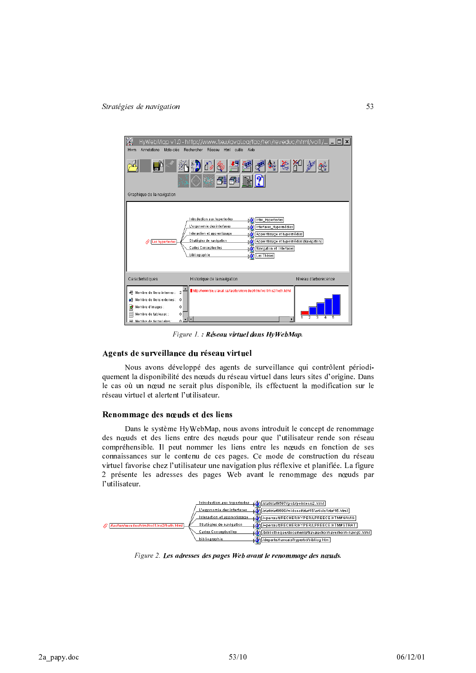

Figure 1.: Réseau virtu el dans Hy WebMap.

#### Agents de surveillance du réseau virtuel

Nous avons développé des agents de surveillance qui contrôlent périodiquement la disponibilité des nœuds du réseau virtuel dans leurs sites d'origine. Dans le cas où un nœud ne serait plus disponible, ils effectuent la modification sur le réseau virtuel et alertent l'utilisateur.

#### Renommage des nœuds et des liens

Dans le système HyWebMap, nous avons introduit le concept de renommage des nœuds et des liens entre des nœuds pour que l'utilisateur rende son réseau compréhensible. Il peut nommer les liens entre les nœuds en fonction de ses connaissances sur le contenu de ces pages. Ce mode de construction du réseau virtuel favorise chez l'utilisateur une navigation plus réflexive et planifiée. La figure 2 présente les adresses des pages Web avant le renommage des nœuds par l'utilisateur.



Figure 2. Les adresses des pages Web avant le renommage des nœuds.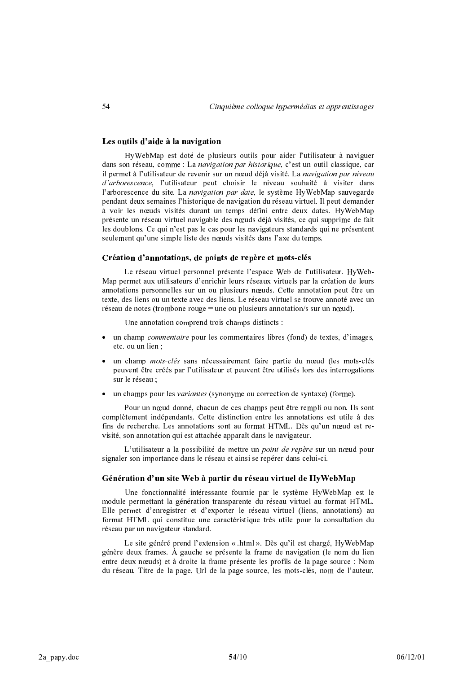### Les outils d'aide à la navigation

HyWebMap est doté de plusieurs outils pour aider l'utilisateur à naviguer dans son réseau, comme : La navigation par historique, c'est un outil classique, car il permet à l'utilisateur de revenir sur un nœud déjà visité. La navigation par niveau d'arborescence, l'utilisateur peut choisir le niveau souhaité à visiter dans l'arborescence du site. La navigation par date, le système HyWebMap sauvegarde pendant deux semaines l'historique de navigation du réseau virtuel. Il peut demander à voir les nœuds visités durant un temps défini entre deux dates. HyWebMap présente un réseau virtuel navigable des nœuds déjà visités, ce qui supprime de fait les doublons. Ce qui n'est pas le cas pour les navigateurs standards qui ne présentent seulement qu'une simple liste des nœuds visités dans l'axe du temps.

#### Création d'annotations, de points de repère et mots-clés

Le réseau virtuel personnel présente l'espace Web de l'utilisateur. HyWeb-Map permet aux utilisateurs d'enrichir leurs réseaux virtuels par la création de leurs annotations personnelles sur un ou plusieurs nœuds. Cette annotation peut être un texte, des liens ou un texte avec des liens. Le réseau virtuel se trouve annoté avec un réseau de notes (trombone rouge = une ou plusieurs annotation/s sur un nœud).

Une annotation comprend trois champs distincts :

- un champ *commentaire* pour les commentaires libres (fond) de textes, d'images, etc. ou un lien :
- un champ *mots-clés* sans nécessairement faire partie du nœud (les mots-clés peuvent être créés par l'utilisateur et peuvent être utilisés lors des interrogations sur le réseau :
- un champs pour les variantes (synonyme ou correction de syntaxe) (forme).

Pour un nœud donné, chacun de ces champs peut être rempli ou non. Ils sont complètement indépendants. Cette distinction entre les annotations est utile à des fins de recherche. Les annotations sont au format HTML. Dès qu'un nœud est revisité, son annotation qui est attachée apparaît dans le navigateur.

L'utilisateur a la possibilité de mettre un point de repère sur un nœud pour signaler son importance dans le réseau et ainsi se repérer dans celui-ci.

#### Génération d'un site Web à partir du réseau virtuel de HyWebMap

Une fonctionnalité intéressante fournie par le système HyWebMap est le module permettant la génération transparente du réseau virtuel au format HTML. Elle permet d'enregistrer et d'exporter le réseau virtuel (liens, annotations) au format HTML qui constitue une caractéristique très utile pour la consultation du réseau par un navigateur standard.

Le site généré prend l'extension « .html ». Dès qu'il est chargé, HyWebMap génère deux frames. À gauche se présente la frame de navigation (le nom du lien entre deux nœuds) et à droite la frame présente les profils de la page source : Nom du réseau, Titre de la page, Url de la page source, les mots-clés, nom de l'auteur,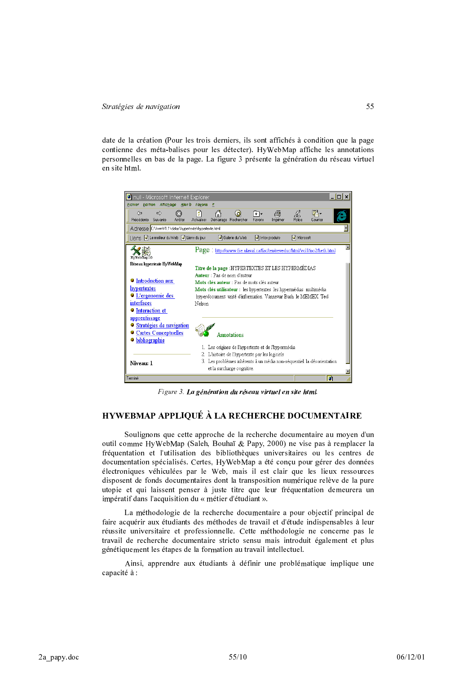date de la création (Pour les trois derniers, ils sont affichés à condition que la page contienne des méta-balises pour les détecter). Hy WebMap affiche les annotations personnelles en bas de la page. La figure 3 présente la génération du réseau virtuel en site html



Figure 3. La génération du réseau virtuel en site html.

# **HYWEBMAP APPLIQUÉ À LA RECHERCHE DOCUMENTAIRE**

Soulignons que cette approche de la recherche documentaire au moyen d'un outil comme HyWebMap (Saleh, Bouhaï & Papy, 2000) ne vise pas à remplacer la fréquentation et l'utilisation des bibliothèques universitaires ou les centres de documentation spécialisés. Certes, HyWebMap a été conçu pour gérer des données électroniques véhiculées par le Web, mais il est clair que les lieux ressources disposent de fonds documentaires dont la transposition numérique relève de la pure utopie et qui laissent penser à juste titre que leur fréquentation demeurera un impératif dans l'acquisition du « métier d'étudiant ».

La méthodologie de la recherche documentaire a pour objectif principal de faire acquérir aux étudiants des méthodes de travail et d'étude indispensables à leur réussite universitaire et professionnelle. Cette méthodologie ne concerne pas le travail de recherche documentaire stricto sensu mais introduit également et plus génétiquement les étapes de la formation au travail intellectuel.

Ainsi, apprendre aux étudiants à définir une problématique implique une capacité à :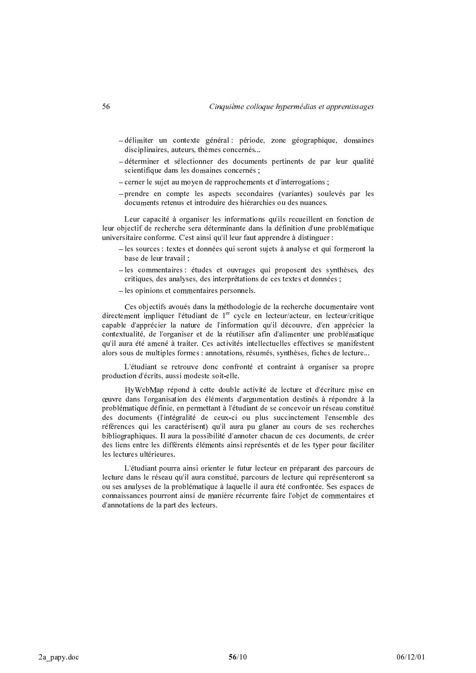- -délimiter un contexte général : période, zone géographique, domaines disciplinaires, auteurs, thèmes concernés...
- -déterminer et sélectionner des documents pertinents de par leur qualité scientifique dans les domaines concernés ;
- cerner le sujet au moyen de rapprochements et d'interrogations;
- -prendre en compte les aspects secondaires (variantes) soulevés par les documents retenus et introduire des hiérarchies ou des nuances.

Leur capacité à organiser les informations qu'ils recueillent en fonction de leur objectif de recherche sera déterminante dans la définition d'une problématique universitaire conforme. C'est ainsi qu'il leur faut apprendre à distinguer :

- -les sources : textes et données qui seront sujets à analyse et qui formeront la base de leur travail :
- -les commentaires : études et ouvrages qui proposent des synthèses, des critiques, des analyses, des interprétations de ces textes et données ;
- les opinions et commentaires personnels.

Ces objectifs avoués dans la méthodologie de la recherche documentaire vont directement impliquer l'étudiant de 1<sup>er</sup> cycle en lecteur/acteur, en lecteur/critique capable d'apprécier la nature de l'information qu'il découvre, d'en apprécier la contextualité, de l'organiser et de la réutiliser afin d'alimenter une problématique qu'il aura été amené à traiter. Ces activités intellectuelles effectives se manifestent alors sous de multiples formes : annotations, résumés, synthèses, fiches de lecture...

L'étudiant se retrouve donc confronté et contraint à organiser sa propre production d'écrits, aussi modeste soit-elle.

HyWebMap répond à cette double activité de lecture et d'écriture mise en œuvre dans l'organisation des éléments d'argumentation destinés à répondre à la problématique définie, en permettant à l'étudiant de se concevoir un réseau constitué des documents (l'intégralité de ceux-ci ou plus succinctement l'ensemble des références qui les caractérisent) qu'il aura pu glaner au cours de ses recherches bibliographiques. Il aura la possibilité d'annoter chacun de ces documents, de créer des liens entre les différents éléments ainsi représentés et de les typer pour faciliter les lectures ultérieures.

L'étudiant pourra ainsi orienter le futur lecteur en préparant des parcours de lecture dans le réseau qu'il aura constitué, parcours de lecture qui représenteront sa ou ses analyses de la problématique à laquelle il aura été confrontée. Ses espaces de connaissances pourront ainsi de manière récurrente faire l'objet de commentaires et d'annotations de la part des lecteurs.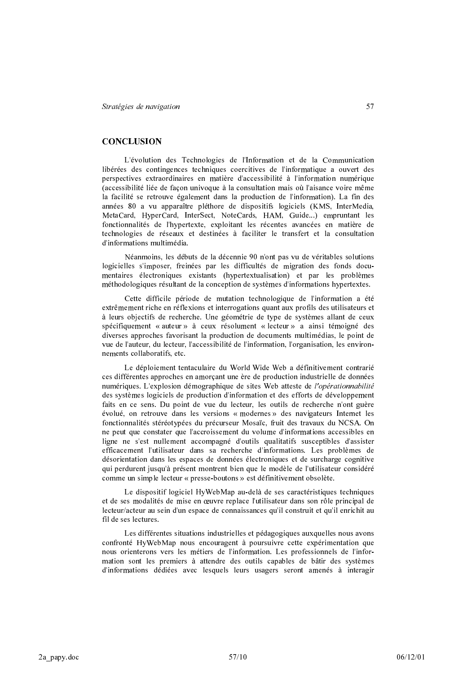### **CONCLUSION**

L'évolution des Technologies de l'Information et de la Communication libérées des contingences techniques coercitives de l'informatique a ouvert des perspectives extraordinaires en matière d'accessibilité à l'information numérique (accessibilité liée de façon univoque à la consultation mais où l'aisance voire même la facilité se retrouve également dans la production de l'information). La fin des années 80 a vu apparaître pléthore de dispositifs logiciels (KMS, InterMedia, MetaCard, HyperCard, InterSect, NoteCards, HAM, Guide...) empruntant les fonctionnalités de l'hypertexte, exploitant les récentes avancées en matière de technologies de réseaux et destinées à faciliter le transfert et la consultation d'informations multimédia.

Néanmoins, les débuts de la décennie 90 n'ont pas vu de véritables solutions logicielles s'imposer, freinées par les difficultés de migration des fonds documentaires électroniques existants (hypertextualisation) et par les problèmes méthodologiques résultant de la conception de systèmes d'informations hypertextes.

Cette difficile période de mutation technologique de l'information a été extrêmement riche en réflexions et interrogations quant aux profils des utilisateurs et à leurs objectifs de recherche. Une géométrie de type de systèmes allant de ceux spécifiquement « auteur » à ceux résolument « lecteur » a ainsi témoigné des diverses approches favorisant la production de documents multimédias, le point de vue de l'auteur, du lecteur, l'accessibilité de l'information, l'organisation, les environnements collaboratifs, etc.

Le déploiement tentaculaire du World Wide Web a définitivement contrarié ces différentes approches en amorcant une ère de production industrielle de données numériques. L'explosion démographique de sites Web atteste de l'opérationnabilité des systèmes logiciels de production d'information et des efforts de développement faits en ce sens. Du point de vue du lecteur, les outils de recherche n'ont guère évolué, on retrouve dans les versions « modernes » des navigateurs Internet les fonctionnalités stéréotypées du précurseur Mosaïc, fruit des travaux du NCSA. On ne peut que constater que l'accroissement du volume d'informations accessibles en ligne ne s'est nullement accompagné d'outils qualitatifs susceptibles d'assister efficacement l'utilisateur dans sa recherche d'informations. Les problèmes de désorientation dans les espaces de données électroniques et de surcharge cognitive qui perdurent jusqu'à présent montrent bien que le modèle de l'utilisateur considéré comme un simple lecteur « presse-boutons » est définitivement obsolète.

Le dispositif logiciel HyWebMap au-delà de ses caractéristiques techniques et de ses modalités de mise en œuvre replace l'utilisateur dans son rôle principal de lecteur/acteur au sein d'un espace de connaissances qu'il construit et qu'il enrichit au fil de ses lectures.

Les différentes situations industrielles et pédagogiques auxquelles nous avons confronté HyWebMap nous encouragent à poursuivre cette expérimentation que nous orienterons vers les métiers de l'information. Les professionnels de l'information sont les premiers à attendre des outils capables de bâtir des systèmes d'informations dédiées avec lesquels leurs usagers seront amenés à interagir